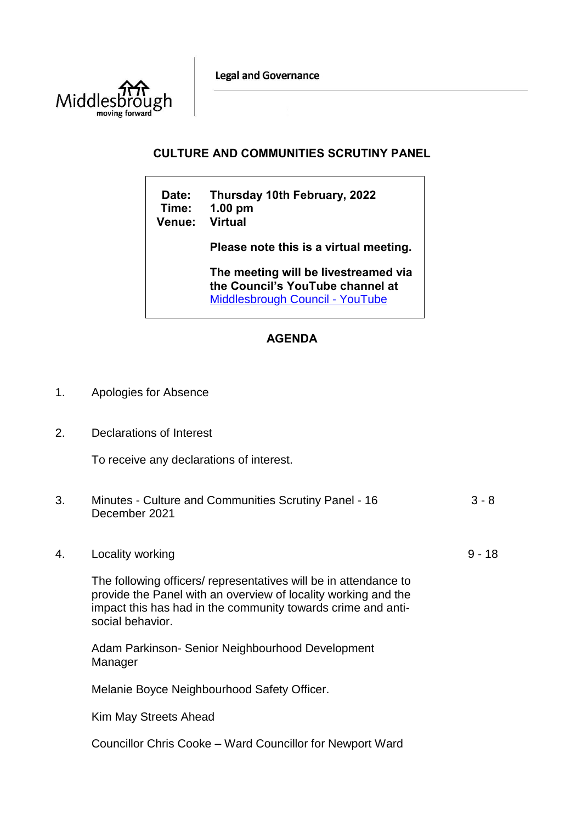**Legal and Governance** 



## **CULTURE AND COMMUNITIES SCRUTINY PANEL**

 $\overline{\phantom{a}}$ 

| Date:<br>Time:<br><b>Venue:</b> | Thursday 10th February, 2022<br>$1.00$ pm<br><b>Virtual</b>                                                        |
|---------------------------------|--------------------------------------------------------------------------------------------------------------------|
|                                 | Please note this is a virtual meeting.                                                                             |
|                                 | The meeting will be livestreamed via<br>the Council's YouTube channel at<br><b>Middlesbrough Council - YouTube</b> |

## **AGENDA**

- 1. Apologies for Absence
- 2. Declarations of Interest

To receive any declarations of interest.

| 3. | Minutes - Culture and Communities Scrutiny Panel - 16<br>December 2021                                                                                                                                                 | $3 - 8$  |
|----|------------------------------------------------------------------------------------------------------------------------------------------------------------------------------------------------------------------------|----------|
| 4. | Locality working                                                                                                                                                                                                       | $9 - 18$ |
|    | The following officers/ representatives will be in attendance to<br>provide the Panel with an overview of locality working and the<br>impact this has had in the community towards crime and anti-<br>social behavior. |          |
|    | Adam Parkinson- Senior Neighbourhood Development<br>Manager                                                                                                                                                            |          |
|    | Melanie Boyce Neighbourhood Safety Officer.                                                                                                                                                                            |          |
|    | Kim May Streets Ahead                                                                                                                                                                                                  |          |
|    |                                                                                                                                                                                                                        |          |

Councillor Chris Cooke – Ward Councillor for Newport Ward